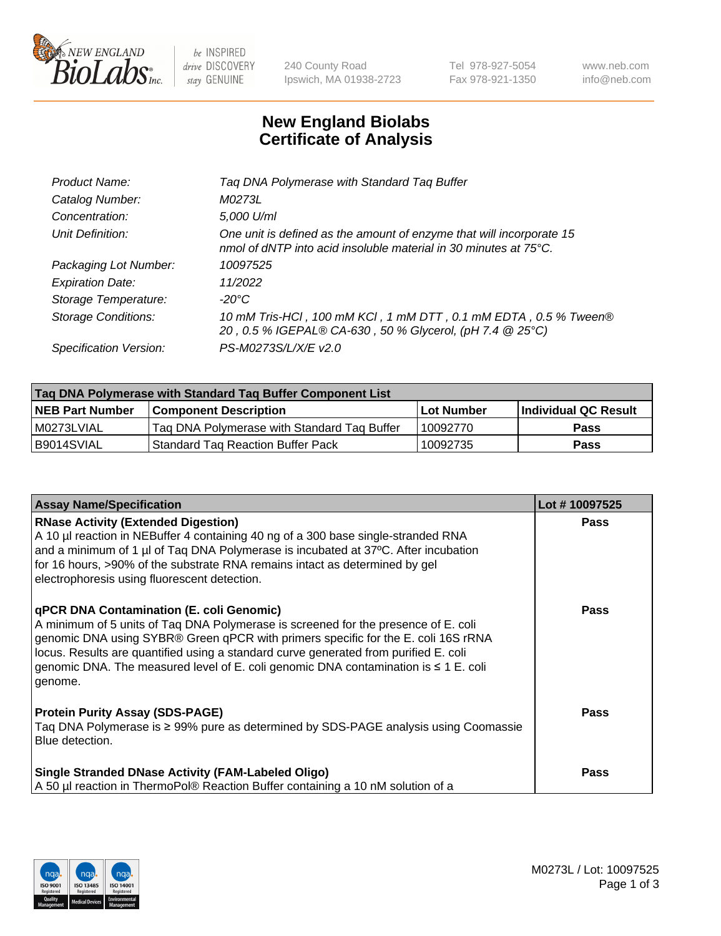

 $be$  INSPIRED drive DISCOVERY stay GENUINE

240 County Road Ipswich, MA 01938-2723 Tel 978-927-5054 Fax 978-921-1350 www.neb.com info@neb.com

## **New England Biolabs Certificate of Analysis**

| Tag DNA Polymerase with Standard Tag Buffer                                                                                              |
|------------------------------------------------------------------------------------------------------------------------------------------|
| M0273L                                                                                                                                   |
| 5,000 U/ml                                                                                                                               |
| One unit is defined as the amount of enzyme that will incorporate 15<br>nmol of dNTP into acid insoluble material in 30 minutes at 75°C. |
| 10097525                                                                                                                                 |
| 11/2022                                                                                                                                  |
| $-20^{\circ}$ C                                                                                                                          |
| 10 mM Tris-HCl, 100 mM KCl, 1 mM DTT, 0.1 mM EDTA, 0.5 % Tween®<br>20, 0.5 % IGEPAL® CA-630, 50 % Glycerol, (pH 7.4 @ 25°C)              |
| PS-M0273S/L/X/E v2.0                                                                                                                     |
|                                                                                                                                          |

| Tag DNA Polymerase with Standard Tag Buffer Component List |                                             |            |                      |  |  |
|------------------------------------------------------------|---------------------------------------------|------------|----------------------|--|--|
| <b>NEB Part Number</b>                                     | <b>Component Description</b>                | Lot Number | Individual QC Result |  |  |
| M0273LVIAL                                                 | Tag DNA Polymerase with Standard Tag Buffer | 10092770   | Pass                 |  |  |
| B9014SVIAL                                                 | <b>Standard Tag Reaction Buffer Pack</b>    | 10092735   | Pass                 |  |  |

| <b>Assay Name/Specification</b>                                                                                                                                                                                                                                                                                                                                                                                    | Lot #10097525 |
|--------------------------------------------------------------------------------------------------------------------------------------------------------------------------------------------------------------------------------------------------------------------------------------------------------------------------------------------------------------------------------------------------------------------|---------------|
| <b>RNase Activity (Extended Digestion)</b><br>A 10 µl reaction in NEBuffer 4 containing 40 ng of a 300 base single-stranded RNA<br>and a minimum of 1 µl of Taq DNA Polymerase is incubated at 37°C. After incubation<br>for 16 hours, >90% of the substrate RNA remains intact as determined by gel<br>electrophoresis using fluorescent detection.                                                               | <b>Pass</b>   |
| qPCR DNA Contamination (E. coli Genomic)<br>A minimum of 5 units of Taq DNA Polymerase is screened for the presence of E. coli<br>genomic DNA using SYBR® Green qPCR with primers specific for the E. coli 16S rRNA<br>locus. Results are quantified using a standard curve generated from purified E. coli<br>genomic DNA. The measured level of E. coli genomic DNA contamination is $\leq 1$ E. coli<br>genome. | Pass          |
| <b>Protein Purity Assay (SDS-PAGE)</b><br>Taq DNA Polymerase is ≥ 99% pure as determined by SDS-PAGE analysis using Coomassie<br>Blue detection.                                                                                                                                                                                                                                                                   | Pass          |
| <b>Single Stranded DNase Activity (FAM-Labeled Oligo)</b><br>A 50 µl reaction in ThermoPol® Reaction Buffer containing a 10 nM solution of a                                                                                                                                                                                                                                                                       | Pass          |

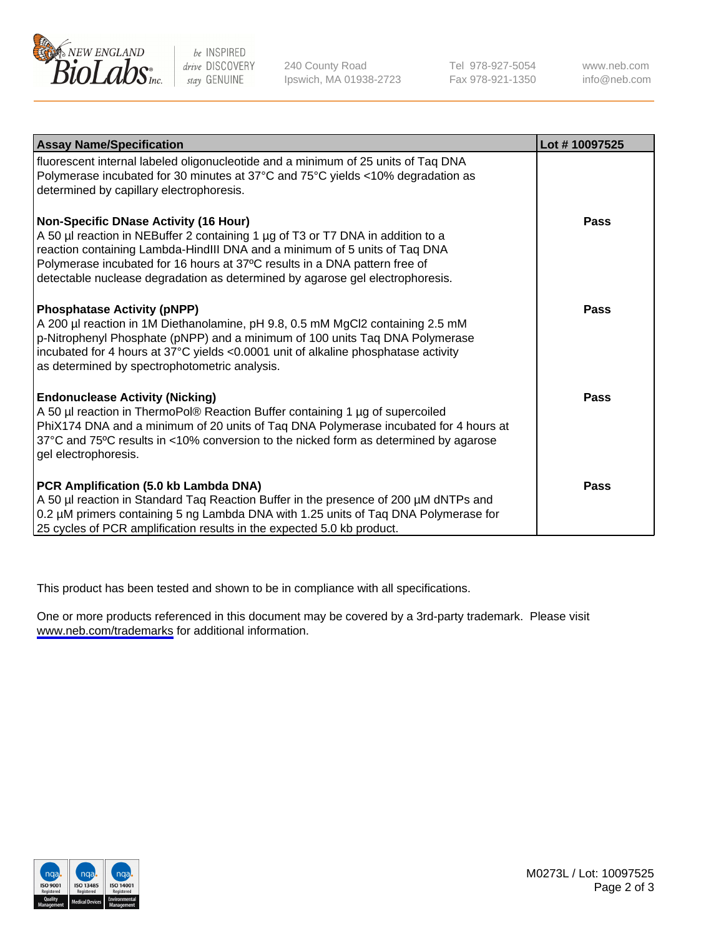

be INSPIRED drive DISCOVERY stay GENUINE

240 County Road Ipswich, MA 01938-2723 Tel 978-927-5054 Fax 978-921-1350

www.neb.com info@neb.com

| <b>Assay Name/Specification</b>                                                                                                                                                                                                                                                                                                                                              | Lot #10097525 |
|------------------------------------------------------------------------------------------------------------------------------------------------------------------------------------------------------------------------------------------------------------------------------------------------------------------------------------------------------------------------------|---------------|
| fluorescent internal labeled oligonucleotide and a minimum of 25 units of Taq DNA<br>Polymerase incubated for 30 minutes at 37°C and 75°C yields <10% degradation as<br>determined by capillary electrophoresis.                                                                                                                                                             |               |
| <b>Non-Specific DNase Activity (16 Hour)</b><br>A 50 µl reaction in NEBuffer 2 containing 1 µg of T3 or T7 DNA in addition to a<br>reaction containing Lambda-HindIII DNA and a minimum of 5 units of Taq DNA<br>Polymerase incubated for 16 hours at 37°C results in a DNA pattern free of<br>detectable nuclease degradation as determined by agarose gel electrophoresis. | Pass          |
| <b>Phosphatase Activity (pNPP)</b><br>A 200 µl reaction in 1M Diethanolamine, pH 9.8, 0.5 mM MgCl2 containing 2.5 mM<br>p-Nitrophenyl Phosphate (pNPP) and a minimum of 100 units Taq DNA Polymerase<br>incubated for 4 hours at 37°C yields <0.0001 unit of alkaline phosphatase activity<br>as determined by spectrophotometric analysis.                                  | Pass          |
| <b>Endonuclease Activity (Nicking)</b><br>A 50 µl reaction in ThermoPol® Reaction Buffer containing 1 µg of supercoiled<br>PhiX174 DNA and a minimum of 20 units of Taq DNA Polymerase incubated for 4 hours at<br>37°C and 75°C results in <10% conversion to the nicked form as determined by agarose<br>gel electrophoresis.                                              | Pass          |
| PCR Amplification (5.0 kb Lambda DNA)<br>A 50 µl reaction in Standard Taq Reaction Buffer in the presence of 200 µM dNTPs and<br>0.2 µM primers containing 5 ng Lambda DNA with 1.25 units of Taq DNA Polymerase for<br>25 cycles of PCR amplification results in the expected 5.0 kb product.                                                                               | <b>Pass</b>   |

This product has been tested and shown to be in compliance with all specifications.

One or more products referenced in this document may be covered by a 3rd-party trademark. Please visit <www.neb.com/trademarks>for additional information.